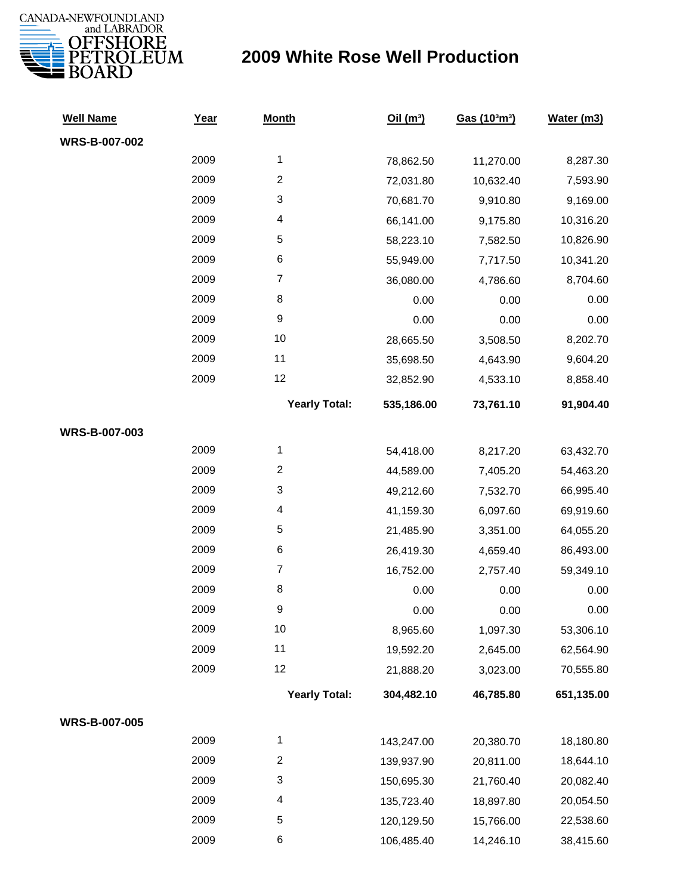

| <b>Well Name</b>     | <u>Year</u> | <b>Month</b>              | Oil $(m^3)$ | Gas (103m3) | Water (m3) |
|----------------------|-------------|---------------------------|-------------|-------------|------------|
| <b>WRS-B-007-002</b> |             |                           |             |             |            |
|                      | 2009        | $\mathbf{1}$              | 78,862.50   | 11,270.00   | 8,287.30   |
|                      | 2009        | $\boldsymbol{2}$          | 72,031.80   | 10,632.40   | 7,593.90   |
|                      | 2009        | $\ensuremath{\mathsf{3}}$ | 70,681.70   | 9,910.80    | 9,169.00   |
|                      | 2009        | $\overline{\mathcal{A}}$  | 66,141.00   | 9,175.80    | 10,316.20  |
|                      | 2009        | 5                         | 58,223.10   | 7,582.50    | 10,826.90  |
|                      | 2009        | 6                         | 55,949.00   | 7,717.50    | 10,341.20  |
|                      | 2009        | $\overline{7}$            | 36,080.00   | 4,786.60    | 8,704.60   |
|                      | 2009        | 8                         | 0.00        | 0.00        | 0.00       |
|                      | 2009        | 9                         | 0.00        | 0.00        | 0.00       |
|                      | 2009        | 10                        | 28,665.50   | 3,508.50    | 8,202.70   |
|                      | 2009        | 11                        | 35,698.50   | 4,643.90    | 9,604.20   |
|                      | 2009        | 12                        | 32,852.90   | 4,533.10    | 8,858.40   |
|                      |             | <b>Yearly Total:</b>      | 535,186.00  | 73,761.10   | 91,904.40  |
| WRS-B-007-003        |             |                           |             |             |            |
|                      | 2009        | $\mathbf{1}$              | 54,418.00   | 8,217.20    | 63,432.70  |
|                      | 2009        | $\boldsymbol{2}$          | 44,589.00   | 7,405.20    | 54,463.20  |
|                      | 2009        | $\ensuremath{\mathsf{3}}$ | 49,212.60   | 7,532.70    | 66,995.40  |
|                      | 2009        | $\overline{\mathcal{A}}$  | 41,159.30   | 6,097.60    | 69,919.60  |
|                      | 2009        | $\,$ 5 $\,$               | 21,485.90   | 3,351.00    | 64,055.20  |
|                      | 2009        | $\,6$                     | 26,419.30   | 4,659.40    | 86,493.00  |
|                      | 2009        | $\boldsymbol{7}$          | 16,752.00   | 2,757.40    | 59,349.10  |
|                      | 2009        | 8                         | 0.00        | 0.00        | 0.00       |
|                      | 2009        | $\boldsymbol{9}$          | 0.00        | 0.00        | 0.00       |
|                      | 2009        | 10                        | 8,965.60    | 1,097.30    | 53,306.10  |
|                      | 2009        | 11                        | 19,592.20   | 2,645.00    | 62,564.90  |
|                      | 2009        | 12                        | 21,888.20   | 3,023.00    | 70,555.80  |
|                      |             | <b>Yearly Total:</b>      | 304,482.10  | 46,785.80   | 651,135.00 |
| WRS-B-007-005        |             |                           |             |             |            |
|                      | 2009        | 1                         | 143,247.00  | 20,380.70   | 18,180.80  |
|                      | 2009        | $\boldsymbol{2}$          | 139,937.90  | 20,811.00   | 18,644.10  |
|                      | 2009        | 3                         | 150,695.30  | 21,760.40   | 20,082.40  |
|                      | 2009        | 4                         | 135,723.40  | 18,897.80   | 20,054.50  |
|                      | 2009        | 5                         | 120,129.50  | 15,766.00   | 22,538.60  |
|                      | 2009        | 6                         | 106,485.40  | 14,246.10   | 38,415.60  |
|                      |             |                           |             |             |            |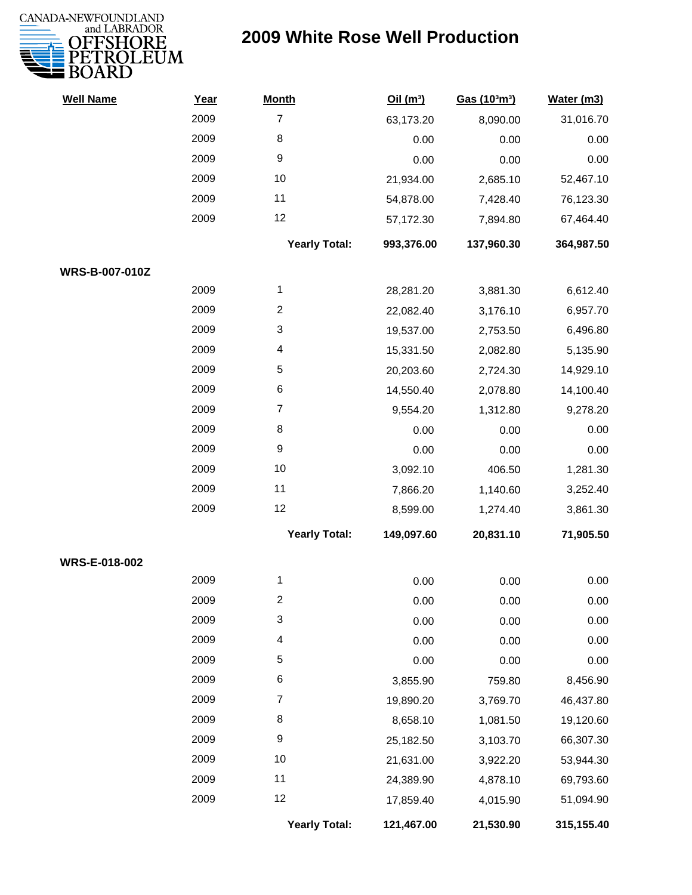

| <b>Well Name</b> | Year | <b>Month</b>         | Oil(m <sup>3</sup> ) | Gas (103m3) | Water (m3) |
|------------------|------|----------------------|----------------------|-------------|------------|
|                  | 2009 | $\overline{7}$       | 63,173.20            | 8,090.00    | 31,016.70  |
|                  | 2009 | 8                    | 0.00                 | 0.00        | 0.00       |
|                  | 2009 | 9                    | 0.00                 | 0.00        | 0.00       |
|                  | 2009 | 10                   | 21,934.00            | 2,685.10    | 52,467.10  |
|                  | 2009 | 11                   | 54,878.00            | 7,428.40    | 76,123.30  |
|                  | 2009 | 12                   | 57,172.30            | 7,894.80    | 67,464.40  |
|                  |      | <b>Yearly Total:</b> | 993,376.00           | 137,960.30  | 364,987.50 |
| WRS-B-007-010Z   |      |                      |                      |             |            |
|                  | 2009 | 1                    | 28,281.20            | 3,881.30    | 6,612.40   |
|                  | 2009 | $\overline{c}$       | 22,082.40            | 3,176.10    | 6,957.70   |
|                  | 2009 | 3                    | 19,537.00            | 2,753.50    | 6,496.80   |
|                  | 2009 | 4                    | 15,331.50            | 2,082.80    | 5,135.90   |
|                  | 2009 | 5                    | 20,203.60            | 2,724.30    | 14,929.10  |
|                  | 2009 | 6                    | 14,550.40            | 2,078.80    | 14,100.40  |
|                  | 2009 | $\overline{7}$       | 9,554.20             | 1,312.80    | 9,278.20   |
|                  | 2009 | 8                    | 0.00                 | 0.00        | 0.00       |
|                  | 2009 | $\boldsymbol{9}$     | 0.00                 | 0.00        | 0.00       |
|                  | 2009 | 10                   | 3,092.10             | 406.50      | 1,281.30   |
|                  | 2009 | 11                   | 7,866.20             | 1,140.60    | 3,252.40   |
|                  | 2009 | 12                   | 8,599.00             | 1,274.40    | 3,861.30   |
|                  |      | <b>Yearly Total:</b> | 149,097.60           | 20,831.10   | 71,905.50  |
| WRS-E-018-002    |      |                      |                      |             |            |
|                  | 2009 | 1                    | 0.00                 | 0.00        | 0.00       |
|                  | 2009 | 2                    | 0.00                 | 0.00        | 0.00       |
|                  | 2009 | 3                    | 0.00                 | 0.00        | 0.00       |
|                  | 2009 | 4                    | 0.00                 | 0.00        | 0.00       |
|                  | 2009 | 5                    | 0.00                 | 0.00        | 0.00       |
|                  | 2009 | 6                    | 3,855.90             | 759.80      | 8,456.90   |
|                  | 2009 | 7                    | 19,890.20            | 3,769.70    | 46,437.80  |
|                  | 2009 | 8                    | 8,658.10             | 1,081.50    | 19,120.60  |
|                  | 2009 | 9                    | 25,182.50            | 3,103.70    | 66,307.30  |
|                  | 2009 | 10                   | 21,631.00            | 3,922.20    | 53,944.30  |
|                  | 2009 | 11                   | 24,389.90            | 4,878.10    | 69,793.60  |
|                  | 2009 | 12                   | 17,859.40            | 4,015.90    | 51,094.90  |
|                  |      | <b>Yearly Total:</b> | 121,467.00           | 21,530.90   | 315,155.40 |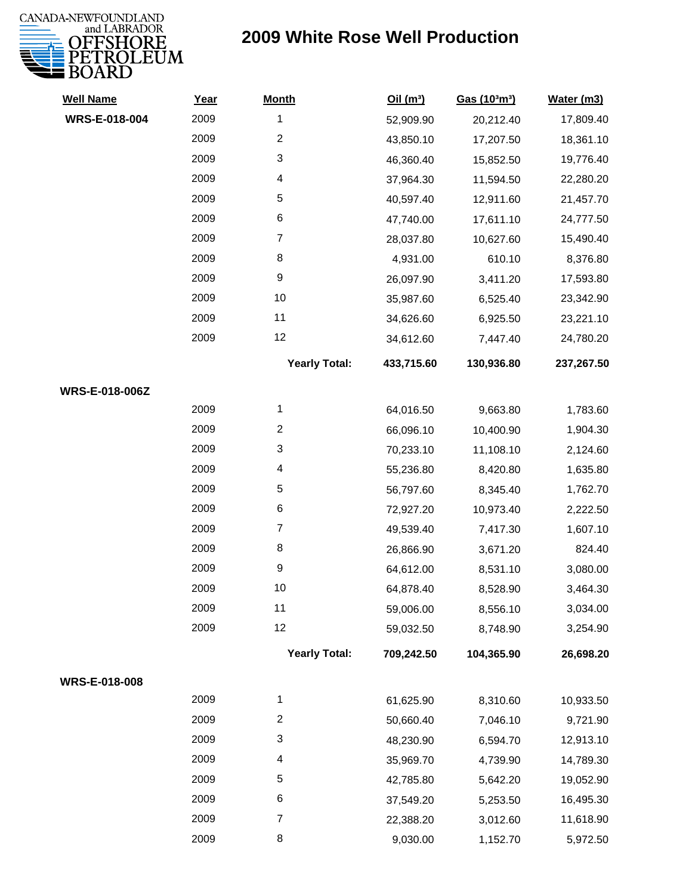

| <b>Well Name</b>      | Year | <b>Month</b>            | Oil(m <sup>3</sup> ) | Gas (103m3) | Water (m3) |
|-----------------------|------|-------------------------|----------------------|-------------|------------|
| WRS-E-018-004         | 2009 | 1                       | 52,909.90            | 20,212.40   | 17,809.40  |
|                       | 2009 | $\overline{c}$          | 43,850.10            | 17,207.50   | 18,361.10  |
|                       | 2009 | 3                       | 46,360.40            | 15,852.50   | 19,776.40  |
|                       | 2009 | 4                       | 37,964.30            | 11,594.50   | 22,280.20  |
|                       | 2009 | 5                       | 40,597.40            | 12,911.60   | 21,457.70  |
|                       | 2009 | 6                       | 47,740.00            | 17,611.10   | 24,777.50  |
|                       | 2009 | $\overline{7}$          | 28,037.80            | 10,627.60   | 15,490.40  |
|                       | 2009 | 8                       | 4,931.00             | 610.10      | 8,376.80   |
|                       | 2009 | $\boldsymbol{9}$        | 26,097.90            | 3,411.20    | 17,593.80  |
|                       | 2009 | 10                      | 35,987.60            | 6,525.40    | 23,342.90  |
|                       | 2009 | 11                      | 34,626.60            | 6,925.50    | 23,221.10  |
|                       | 2009 | 12                      | 34,612.60            | 7,447.40    | 24,780.20  |
|                       |      | <b>Yearly Total:</b>    | 433,715.60           | 130,936.80  | 237,267.50 |
| <b>WRS-E-018-006Z</b> |      |                         |                      |             |            |
|                       | 2009 | 1                       | 64,016.50            | 9,663.80    | 1,783.60   |
|                       | 2009 | $\overline{\mathbf{c}}$ | 66,096.10            | 10,400.90   | 1,904.30   |
|                       | 2009 | 3                       | 70,233.10            | 11,108.10   | 2,124.60   |
|                       | 2009 | 4                       | 55,236.80            | 8,420.80    | 1,635.80   |
|                       | 2009 | 5                       | 56,797.60            | 8,345.40    | 1,762.70   |
|                       | 2009 | 6                       | 72,927.20            | 10,973.40   | 2,222.50   |
|                       | 2009 | $\overline{7}$          | 49,539.40            | 7,417.30    | 1,607.10   |
|                       | 2009 | 8                       | 26,866.90            | 3,671.20    | 824.40     |
|                       | 2009 | 9                       | 64,612.00            | 8,531.10    | 3,080.00   |
|                       | 2009 | 10                      | 64,878.40            | 8,528.90    | 3,464.30   |
|                       | 2009 | 11                      | 59,006.00            | 8,556.10    | 3,034.00   |
|                       | 2009 | 12                      | 59,032.50            | 8,748.90    | 3,254.90   |
|                       |      | <b>Yearly Total:</b>    | 709,242.50           | 104,365.90  | 26,698.20  |
| WRS-E-018-008         |      |                         |                      |             |            |
|                       | 2009 | 1                       | 61,625.90            | 8,310.60    | 10,933.50  |
|                       | 2009 | $\overline{2}$          | 50,660.40            | 7,046.10    | 9,721.90   |
|                       | 2009 | 3                       | 48,230.90            | 6,594.70    | 12,913.10  |
|                       | 2009 | 4                       | 35,969.70            | 4,739.90    | 14,789.30  |
|                       | 2009 | 5                       | 42,785.80            | 5,642.20    | 19,052.90  |
|                       | 2009 | 6                       | 37,549.20            | 5,253.50    | 16,495.30  |
|                       | 2009 | $\overline{7}$          | 22,388.20            | 3,012.60    | 11,618.90  |
|                       | 2009 | 8                       | 9,030.00             | 1,152.70    | 5,972.50   |